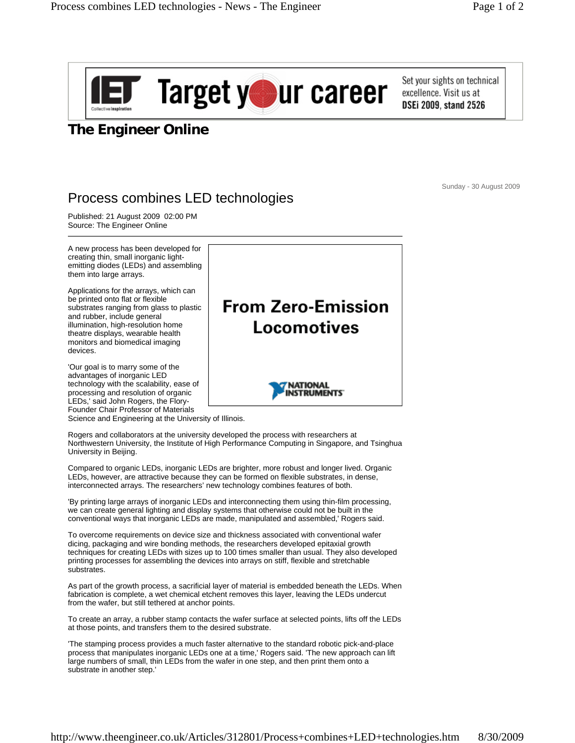

Set your sights on technical excellence. Visit us at **DSEi 2009. stand 2526** 

## **The Engineer Online**

Sunday - 30 August 2009

## Process combines LED technologies

Published: 21 August 2009 02:00 PM Source: The Engineer Online

A new process has been developed for creating thin, small inorganic lightemitting diodes (LEDs) and assembling them into large arrays.

Applications for the arrays, which can be printed onto flat or flexible substrates ranging from glass to plastic and rubber, include general illumination, high-resolution home theatre displays, wearable health monitors and biomedical imaging devices.

'Our goal is to marry some of the advantages of inorganic LED technology with the scalability, ease of processing and resolution of organic LEDs,' said John Rogers, the Flory-Founder Chair Professor of Materials

Science and Engineering at the University of Illinois.

Rogers and collaborators at the university developed the process with researchers at Northwestern University, the Institute of High Performance Computing in Singapore, and Tsinghua University in Beijing.

Compared to organic LEDs, inorganic LEDs are brighter, more robust and longer lived. Organic LEDs, however, are attractive because they can be formed on flexible substrates, in dense, interconnected arrays. The researchers' new technology combines features of both.

'By printing large arrays of inorganic LEDs and interconnecting them using thin-film processing, we can create general lighting and display systems that otherwise could not be built in the conventional ways that inorganic LEDs are made, manipulated and assembled,' Rogers said.

To overcome requirements on device size and thickness associated with conventional wafer dicing, packaging and wire bonding methods, the researchers developed epitaxial growth techniques for creating LEDs with sizes up to 100 times smaller than usual. They also developed printing processes for assembling the devices into arrays on stiff, flexible and stretchable substrates.

As part of the growth process, a sacrificial layer of material is embedded beneath the LEDs. When fabrication is complete, a wet chemical etchent removes this layer, leaving the LEDs undercut from the wafer, but still tethered at anchor points.

To create an array, a rubber stamp contacts the wafer surface at selected points, lifts off the LEDs at those points, and transfers them to the desired substrate.

'The stamping process provides a much faster alternative to the standard robotic pick-and-place process that manipulates inorganic LEDs one at a time,' Rogers said. 'The new approach can lift large numbers of small, thin LEDs from the wafer in one step, and then print them onto a substrate in another step.'